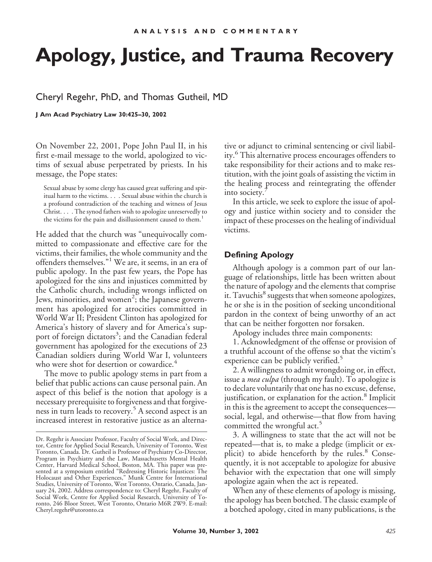# **Apology, Justice, and Trauma Recovery**

## Cheryl Regehr, PhD, and Thomas Gutheil, MD

**J Am Acad Psychiatry Law 30:425–30, 2002**

On November 22, 2001, Pope John Paul II, in his first e-mail message to the world, apologized to victims of sexual abuse perpetrated by priests. In his message, the Pope states:

Sexual abuse by some clergy has caused great suffering and spiritual harm to the victims. . . . Sexual abuse within the church is a profound contradiction of the teaching and witness of Jesus Christ. . . . The synod fathers wish to apologize unreservedly to the victims for the pain and disillusionment caused to them.<sup>1</sup>

He added that the church was "unequivocally committed to compassionate and effective care for the victims, their families, the whole community and the offenders themselves."<sup>1</sup> We are, it seems, in an era of public apology. In the past few years, the Pope has apologized for the sins and injustices committed by the Catholic church, including wrongs inflicted on Jews, minorities, and women<sup>2</sup>; the Japanese government has apologized for atrocities committed in World War II; President Clinton has apologized for America's history of slavery and for America's support of foreign dictators<sup>3</sup>; and the Canadian federal government has apologized for the executions of 23 Canadian soldiers during World War I, volunteers who were shot for desertion or cowardice.<sup>4</sup>

The move to public apology stems in part from a belief that public actions can cause personal pain. An aspect of this belief is the notion that apology is a necessary prerequisite to forgiveness and that forgiveness in turn leads to recovery.<sup>5</sup> A second aspect is an increased interest in restorative justice as an alternative or adjunct to criminal sentencing or civil liability.<sup>6</sup> This alternative process encourages offenders to take responsibility for their actions and to make restitution, with the joint goals of assisting the victim in the healing process and reintegrating the offender into society.

In this article, we seek to explore the issue of apology and justice within society and to consider the impact of these processes on the healing of individual victims.

## **Defining Apology**

Although apology is a common part of our language of relationships, little has been written about the nature of apology and the elements that comprise it. Tavuchis<sup>8</sup> suggests that when someone apologizes, he or she is in the position of seeking unconditional pardon in the context of being unworthy of an act that can be neither forgotten nor forsaken.

Apology includes three main components:

1. Acknowledgment of the offense or provision of a truthful account of the offense so that the victim's experience can be publicly verified.<sup>5</sup>

2. A willingness to admit wrongdoing or, in effect, issue a *mea culpa* (through my fault). To apologize is to declare voluntarily that one has no excuse, defense, justification, or explanation for the action.<sup>8</sup> Implicit in this is the agreement to accept the consequences social, legal, and otherwise—that flow from having committed the wrongful act.<sup>5</sup>

3. A willingness to state that the act will not be repeated—that is, to make a pledge (implicit or explicit) to abide henceforth by the rules.<sup>8</sup> Consequently, it is not acceptable to apologize for abusive behavior with the expectation that one will simply apologize again when the act is repeated.

When any of these elements of apology is missing, the apology has been botched. The classic example of a botched apology, cited in many publications, is the

Dr. Regehr is Associate Professor, Faculty of Social Work, and Director, Centre for Applied Social Research, University of Toronto, West Toronto, Canada. Dr. Gutheil is Professor of Psychiatry Co-Director, Program in Psychiatry and the Law, Massachusetts Mental Health Center, Harvard Medical School, Boston, MA. This paper was presented at a symposium entitled "Redressing Historic Injustices: The Holocaust and Other Experiences," Munk Centre for International Studies, University of Toronto, West Toronto, Ontario, Canada, January 24, 2002. Address correspondence to: Cheryl Regehr, Faculty of Social Work, Centre for Applied Social Research, University of Toronto, 246 Bloor Street, West Toronto, Ontario M6R 2W9. E-mail: Cheryl.regehr@utoronto.ca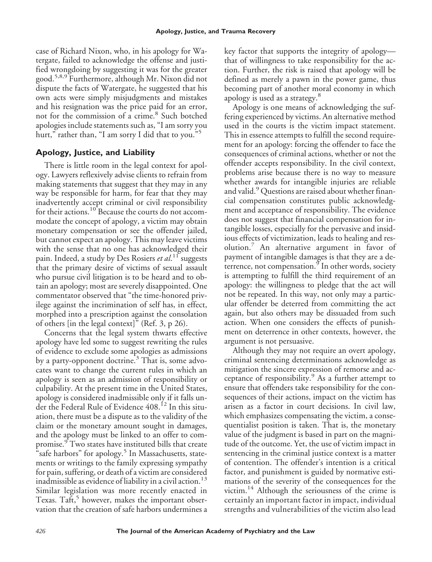case of Richard Nixon, who, in his apology for Watergate, failed to acknowledge the offense and justified wrongdoing by suggesting it was for the greater good.<sup>5,8,9</sup> Furthermore, although Mr. Nixon did not dispute the facts of Watergate, he suggested that his own acts were simply misjudgments and mistakes and his resignation was the price paid for an error, not for the commission of a crime.<sup>8</sup> Such botched apologies include statements such as, "I am sorry you hurt," rather than, "I am sorry I did that to you." 5

## **Apology, Justice, and Liability**

There is little room in the legal context for apology. Lawyers reflexively advise clients to refrain from making statements that suggest that they may in any way be responsible for harm, for fear that they may inadvertently accept criminal or civil responsibility for their actions.<sup>10</sup> Because the courts do not accommodate the concept of apology, a victim may obtain monetary compensation or see the offender jailed, but cannot expect an apology. This may leave victims with the sense that no one has acknowledged their pain. Indeed, a study by Des Rosiers *et al*.<sup>11</sup> suggests that the primary desire of victims of sexual assault who pursue civil litigation is to be heard and to obtain an apology; most are severely disappointed. One commentator observed that "the time-honored privilege against the incrimination of self has, in effect, morphed into a prescription against the consolation of others [in the legal context]" (Ref. 3, p 26).

Concerns that the legal system thwarts effective apology have led some to suggest rewriting the rules of evidence to exclude some apologies as admissions by a party-opponent doctrine.<sup>3</sup> That is, some advocates want to change the current rules in which an apology is seen as an admission of responsibility or culpability. At the present time in the United States, apology is considered inadmissible only if it falls under the Federal Rule of Evidence 408.<sup>12</sup> In this situation, there must be a dispute as to the validity of the claim or the monetary amount sought in damages, and the apology must be linked to an offer to compromise.<sup>9</sup> Two states have instituted bills that create "safe harbors" for apology.<sup>5</sup> In Massachusetts, statements or writings to the family expressing sympathy for pain, suffering, or death of a victim are considered inadmissible as evidence of liability in a civil action.<sup>13</sup> Similar legislation was more recently enacted in Texas. Taft,<sup>5</sup> however, makes the important observation that the creation of safe harbors undermines a

key factor that supports the integrity of apology that of willingness to take responsibility for the action. Further, the risk is raised that apology will be defined as merely a pawn in the power game, thus becoming part of another moral economy in which apology is used as a strategy.<sup>8</sup>

Apology is one means of acknowledging the suffering experienced by victims. An alternative method used in the courts is the victim impact statement. This in essence attempts to fulfill the second requirement for an apology: forcing the offender to face the consequences of criminal actions, whether or not the offender accepts responsibility. In the civil context, problems arise because there is no way to measure whether awards for intangible injuries are reliable and valid.<sup>9</sup> Questions are raised about whether financial compensation constitutes public acknowledgment and acceptance of responsibility. The evidence does not suggest that financial compensation for intangible losses, especially for the pervasive and insidious effects of victimization, leads to healing and resolution.<sup>7</sup> An alternative argument in favor of payment of intangible damages is that they are a deterrence, not compensation. $9$  In other words, society is attempting to fulfill the third requirement of an apology: the willingness to pledge that the act will not be repeated. In this way, not only may a particular offender be deterred from committing the act again, but also others may be dissuaded from such action. When one considers the effects of punishment on deterrence in other contexts, however, the argument is not persuasive.

Although they may not require an overt apology, criminal sentencing determinations acknowledge as mitigation the sincere expression of remorse and acceptance of responsibility. $9$  As a further attempt to ensure that offenders take responsibility for the consequences of their actions, impact on the victim has arisen as a factor in court decisions. In civil law, which emphasizes compensating the victim, a consequentialist position is taken. That is, the monetary value of the judgment is based in part on the magnitude of the outcome. Yet, the use of victim impact in sentencing in the criminal justice context is a matter of contention. The offender's intention is a critical factor, and punishment is guided by normative estimations of the severity of the consequences for the victim.<sup>14</sup> Although the seriousness of the crime is certainly an important factor in impact, individual strengths and vulnerabilities of the victim also lead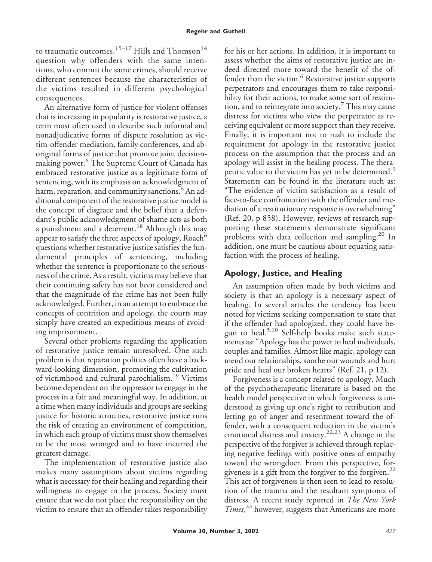### **Regehr and Gutheil**

to traumatic outcomes.<sup>15-17</sup> Hills and Thomson<sup>14</sup> question why offenders with the same intentions, who commit the same crimes, should receive different sentences because the characteristics of the victims resulted in different psychological consequences.

An alternative form of justice for violent offenses that is increasing in popularity is restorative justice, a term most often used to describe such informal and nonadjudicative forms of dispute resolution as victim-offender mediation, family conferences, and aboriginal forms of justice that promote joint decisionmaking power.<sup>6</sup> The Supreme Court of Canada has embraced restorative justice as a legitimate form of sentencing, with its emphasis on acknowledgment of harm, reparation, and community sanctions.<sup>6</sup> An additional component of the restorative justice model is the concept of disgrace and the belief that a defendant's public acknowledgment of shame acts as both a punishment and a deterrent.<sup>18</sup> Although this may appear to satisfy the three aspects of apology, Roach $^6$ questions whether restorative justice satisfies the fundamental principles of sentencing, including whether the sentence is proportionate to the seriousness of the crime. As a result, victims may believe that their continuing safety has not been considered and that the magnitude of the crime has not been fully acknowledged. Further, in an attempt to embrace the concepts of contrition and apology, the courts may simply have created an expeditious means of avoiding imprisonment.

Several other problems regarding the application of restorative justice remain unresolved. One such problem is that reparation politics often have a backward-looking dimension, promoting the cultivation of victimhood and cultural parochialism.<sup>19</sup> Victims become dependent on the oppressor to engage in the process in a fair and meaningful way. In addition, at a time when many individuals and groups are seeking justice for historic atrocities, restorative justice runs the risk of creating an environment of competition, in which each group of victims must show themselves to be the most wronged and to have incurred the greatest damage.

The implementation of restorative justice also makes many assumptions about victims regarding what is necessary for their healing and regarding their willingness to engage in the process. Society must ensure that we do not place the responsibility on the victim to ensure that an offender takes responsibility

for his or her actions. In addition, it is important to assess whether the aims of restorative justice are indeed directed more toward the benefit of the offender than the victim.<sup>6</sup> Restorative justice supports perpetrators and encourages them to take responsibility for their actions, to make some sort of restitution, and to reintegrate into society.<sup>7</sup> This may cause distress for victims who view the perpetrator as receiving equivalent or more support than they receive. Finally, it is important not to rush to include the requirement for apology in the restorative justice process on the assumption that the process and an apology will assist in the healing process. The therapeutic value to the victim has yet to be determined.<sup>9</sup> Statements can be found in the literature such as: "The evidence of victim satisfaction as a result of face-to-face confrontation with the offender and mediation of a restitutionary response is overwhelming" (Ref. 20, p 858). However, reviews of research supporting these statements demonstrate significant problems with data collection and sampling.<sup>20</sup> In addition, one must be cautious about equating satisfaction with the process of healing.

## **Apology, Justice, and Healing**

An assumption often made by both victims and society is that an apology is a necessary aspect of healing. In several articles the tendency has been noted for victims seeking compensation to state that if the offender had apologized, they could have begun to heal.<sup>5,10</sup> Self-help books make such statements as: "Apology has the power to heal individuals, couples and families. Almost like magic, apology can mend our relationships, soothe our wounds and hurt pride and heal our broken hearts" (Ref. 21, p 12).

Forgiveness is a concept related to apology. Much of the psychotherapeutic literature is based on the health model perspective in which forgiveness is understood as giving up one's right to retribution and letting go of anger and resentment toward the offender, with a consequent reduction in the victim's emotional distress and anxiety.<sup>22,23</sup> A change in the perspective of the forgiver is achieved through replacing negative feelings with positive ones of empathy toward the wrongdoer. From this perspective, forgiveness is a gift from the forgiver to the forgiven.<sup>22</sup> This act of forgiveness is then seen to lead to resolution of the trauma and the resultant symptoms of distress. A recent study reported in *The New York Times*, <sup>23</sup> however, suggests that Americans are more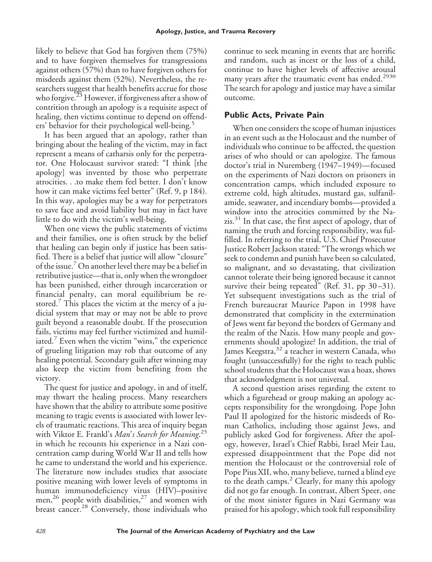likely to believe that God has forgiven them (75%) and to have forgiven themselves for transgressions against others (57%) than to have forgiven others for misdeeds against them (52%). Nevertheless, the researchers suggest that health benefits accrue for those who forgive.<sup>23</sup> However, if forgiveness after a show of contrition through an apology is a requisite aspect of healing, then victims continue to depend on offenders' behavior for their psychological well-being.<sup>5</sup>

It has been argued that an apology, rather than bringing about the healing of the victim, may in fact represent a means of catharsis only for the perpetrator. One Holocaust survivor stated: "I think [the apology] was invented by those who perpetrate atrocities. . .to make them feel better. I don't know how it can make victims feel better" (Ref. 9, p 184). In this way, apologies may be a way for perpetrators to save face and avoid liability but may in fact have little to do with the victim's well-being.

When one views the public statements of victims and their families, one is often struck by the belief that healing can begin only if justice has been satisfied. There is a belief that justice will allow "closure" of the issue.7On another level there may be a belief in retributive justice—that is, only when the wrongdoer has been punished, either through incarceration or financial penalty, can moral equilibrium be restored.<sup>7</sup> This places the victim at the mercy of a judicial system that may or may not be able to prove guilt beyond a reasonable doubt. If the prosecution fails, victims may feel further victimized and humiliated.<sup>7</sup> Even when the victim "wins," the experience of grueling litigation may rob that outcome of any healing potential. Secondary guilt after winning may also keep the victim from benefiting from the victory.

The quest for justice and apology, in and of itself, may thwart the healing process. Many researchers have shown that the ability to attribute some positive meaning to tragic events is associated with lower levels of traumatic reactions. This area of inquiry began with Viktor E. Frankl's *Man*'*s Search for Meaning*. 25 in which he recounts his experience in a Nazi concentration camp during World War II and tells how he came to understand the world and his experience. The literature now includes studies that associate positive meaning with lower levels of symptoms in human immunodeficiency virus (HIV)–positive men,<sup>26</sup> people with disabilities,<sup>27</sup> and women with breast cancer.<sup>28</sup> Conversely, those individuals who

continue to seek meaning in events that are horrific and random, such as incest or the loss of a child, continue to have higher levels of affective arousal many years after the traumatic event has ended.<sup>2930</sup> The search for apology and justice may have a similar outcome.

## **Public Acts, Private Pain**

When one considers the scope of human injustices in an event such as the Holocaust and the number of individuals who continue to be affected, the question arises of who should or can apologize. The famous doctor's trial in Nuremberg (1947–1949)—focused on the experiments of Nazi doctors on prisoners in concentration camps, which included exposure to extreme cold, high altitudes, mustard gas, sulfanilamide, seawater, and incendiary bombs—provided a window into the atrocities committed by the Na $zis$ <sup>31</sup>. In that case, the first aspect of apology, that of naming the truth and forcing responsibility, was fulfilled. In referring to the trial, U.S. Chief Prosecutor Justice Robert Jackson stated: "The wrongs which we seek to condemn and punish have been so calculated, so malignant, and so devastating, that civilization cannot tolerate their being ignored because it cannot survive their being repeated" (Ref. 31, pp 30–31). Yet subsequent investigations such as the trial of French bureaucrat Maurice Papon in 1998 have demonstrated that complicity in the extermination of Jews went far beyond the borders of Germany and the realm of the Nazis. How many people and governments should apologize? In addition, the trial of James Keegstra,<sup>32</sup> a teacher in western Canada, who fought (unsuccessfully) for the right to teach public school students that the Holocaust was a hoax, shows that acknowledgment is not universal.

A second question arises regarding the extent to which a figurehead or group making an apology accepts responsibility for the wrongdoing. Pope John Paul II apologized for the historic misdeeds of Roman Catholics, including those against Jews, and publicly asked God for forgiveness. After the apology, however, Israel's Chief Rabbi, Israel Meir Lau, expressed disappointment that the Pope did not mention the Holocaust or the controversial role of Pope Pius XII, who, many believe, turned a blind eye to the death camps. $^2$  Clearly, for many this apology did not go far enough. In contrast, Albert Speer, one of the most sinister figures in Nazi Germany was praised for his apology, which took full responsibility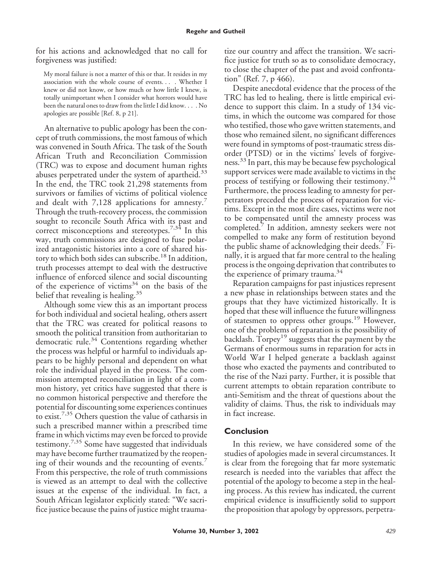for his actions and acknowledged that no call for forgiveness was justified:

My moral failure is not a matter of this or that. It resides in my association with the whole course of events. . . . Whether I knew or did not know, or how much or how little I knew, is totally unimportant when I consider what horrors would have been the natural ones to draw from the little I did know. . . . No apologies are possible [Ref. 8, p 21].

An alternative to public apology has been the concept of truth commissions, the most famous of which was convened in South Africa. The task of the South African Truth and Reconciliation Commission (TRC) was to expose and document human rights abuses perpetrated under the system of apartheid. $33$ In the end, the TRC took 21,298 statements from survivors or families of victims of political violence and dealt with 7,128 applications for amnesty.<sup>7</sup> Through the truth-recovery process, the commission sought to reconcile South Africa with its past and correct misconceptions and stereotypes.<sup>7,34</sup> In this way, truth commissions are designed to fuse polarized antagonistic histories into a core of shared history to which both sides can subscribe.<sup>18</sup> In addition, truth processes attempt to deal with the destructive influence of enforced silence and social discounting of the experience of victims $34$  on the basis of the belief that revealing is healing.<sup>35</sup>

Although some view this as an important process for both individual and societal healing, others assert that the TRC was created for political reasons to smooth the political transition from authoritarian to democratic rule.<sup>34</sup> Contentions regarding whether the process was helpful or harmful to individuals appears to be highly personal and dependent on what role the individual played in the process. The commission attempted reconciliation in light of a common history, yet critics have suggested that there is no common historical perspective and therefore the potential for discounting some experiences continues to exist.<sup>7,35</sup> Others question the value of catharsis in such a prescribed manner within a prescribed time frame in which victims may even be forced to provide testimony.<sup>7,35</sup> Some have suggested that individuals may have become further traumatized by the reopening of their wounds and the recounting of events.<sup>7</sup> From this perspective, the role of truth commissions is viewed as an attempt to deal with the collective issues at the expense of the individual. In fact, a South African legislator explicitly stated: "We sacrifice justice because the pains of justice might traumatize our country and affect the transition. We sacrifice justice for truth so as to consolidate democracy, to close the chapter of the past and avoid confrontation" (Ref. 7, p 466).

Despite anecdotal evidence that the process of the TRC has led to healing, there is little empirical evidence to support this claim. In a study of 134 victims, in which the outcome was compared for those who testified, those who gave written statements, and those who remained silent, no significant differences were found in symptoms of post-traumatic stress disorder (PTSD) or in the victims' levels of forgiveness.<sup>33</sup> In part, this may be because few psychological support services were made available to victims in the process of testifying or following their testimony.<sup>34</sup> Furthermore, the process leading to amnesty for perpetrators preceded the process of reparation for victims. Except in the most dire cases, victims were not to be compensated until the amnesty process was completed.<sup>7</sup> In addition, amnesty seekers were not compelled to make any form of restitution beyond the public shame of acknowledging their deeds. Finally, it is argued that far more central to the healing process is the ongoing deprivation that contributes to the experience of primary trauma.<sup>34</sup>

Reparation campaigns for past injustices represent a new phase in relationships between states and the groups that they have victimized historically. It is hoped that these will influence the future willingness of statesmen to oppress other groups.<sup>19</sup> However, one of the problems of reparation is the possibility of backlash. Torpey<sup>19</sup> suggests that the payment by the Germans of enormous sums in reparation for acts in World War I helped generate a backlash against those who exacted the payments and contributed to the rise of the Nazi party. Further, it is possible that current attempts to obtain reparation contribute to anti-Semitism and the threat of questions about the validity of claims. Thus, the risk to individuals may in fact increase.

## **Conclusion**

In this review, we have considered some of the studies of apologies made in several circumstances. It is clear from the foregoing that far more systematic research is needed into the variables that affect the potential of the apology to become a step in the healing process. As this review has indicated, the current empirical evidence is insufficiently solid to support the proposition that apology by oppressors, perpetra-